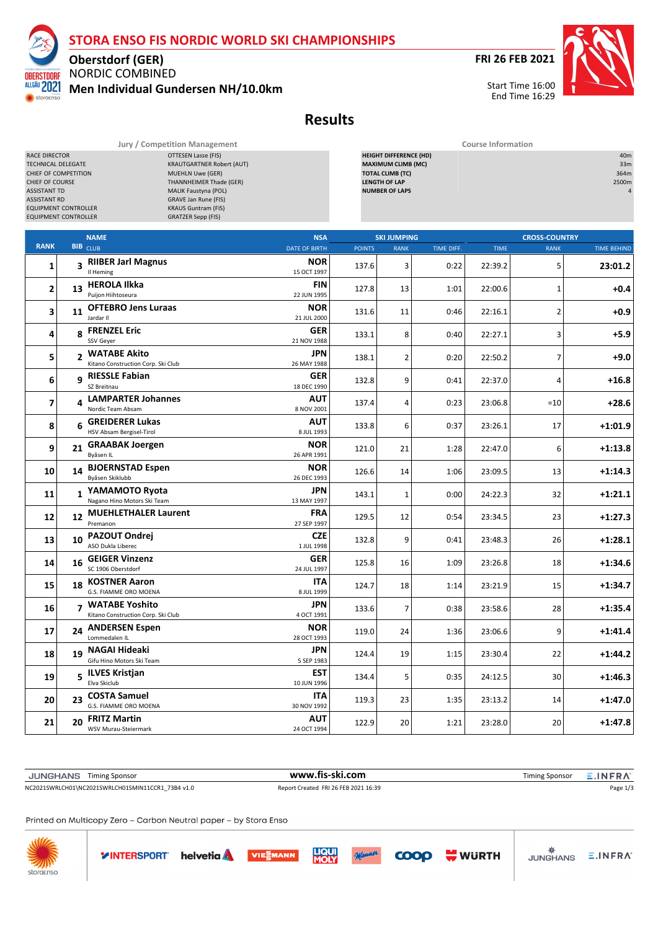

**FRI 26 FEB 2021**



**Oberstdorf (GER)** NORDIC COMBINED ALLGÄU 2021 **Men Individual Gundersen NH/10.0km**

TNORR

storgensc

**Results**

| Jury / Competition Management                                                                                                                                                                                                                                                                                                                                                                                                        |    |                                                        |                           | <b>Course Information</b><br>40m                                                                                                       |                    |            |             |                      |                    |  |  |  |
|--------------------------------------------------------------------------------------------------------------------------------------------------------------------------------------------------------------------------------------------------------------------------------------------------------------------------------------------------------------------------------------------------------------------------------------|----|--------------------------------------------------------|---------------------------|----------------------------------------------------------------------------------------------------------------------------------------|--------------------|------------|-------------|----------------------|--------------------|--|--|--|
| <b>OTTESEN Lasse (FIS)</b><br>RACE DIRECTOR<br><b>KRAUTGARTNER Robert (AUT)</b><br>TECHNICAL DELEGATE<br><b>MUEHLN Uwe (GER)</b><br>CHIEF OF COMPETITION<br>CHIEF OF COURSE<br><b>THANNHEIMER Thade (GER)</b><br>MALIK Faustyna (POL)<br><b>ASSISTANT TD</b><br><b>ASSISTANT RD</b><br>GRAVE Jan Rune (FIS)<br><b>KRAUS Guntram (FIS)</b><br><b>EQUIPMENT CONTROLLER</b><br><b>EQUIPMENT CONTROLLER</b><br><b>GRATZER Sepp (FIS)</b> |    |                                                        |                           | <b>HEIGHT DIFFERENCE (HD)</b><br><b>MAXIMUM CLIMB (MC)</b><br><b>TOTAL CLIMB (TC)</b><br><b>LENGTH OF LAP</b><br><b>NUMBER OF LAPS</b> |                    |            |             |                      |                    |  |  |  |
|                                                                                                                                                                                                                                                                                                                                                                                                                                      |    | <b>NAME</b>                                            | <b>NSA</b>                |                                                                                                                                        | <b>SKI JUMPING</b> |            |             | <b>CROSS-COUNTRY</b> |                    |  |  |  |
| <b>RANK</b>                                                                                                                                                                                                                                                                                                                                                                                                                          |    | <b>BIB</b> CLUB                                        | <b>DATE OF BIRTH</b>      | <b>POINTS</b>                                                                                                                          | <b>RANK</b>        | TIME DIFF. | <b>TIME</b> | <b>RANK</b>          | <b>TIME BEHIND</b> |  |  |  |
| 1                                                                                                                                                                                                                                                                                                                                                                                                                                    |    | 3 RIIBER Jarl Magnus<br>Il Heming                      | <b>NOR</b><br>15 OCT 1997 | 137.6                                                                                                                                  | 3                  | 0:22       | 22:39.2     | 5                    | 23:01.2            |  |  |  |
| $\mathbf{2}$                                                                                                                                                                                                                                                                                                                                                                                                                         |    | 13 HEROLA Ilkka<br>Puijon Hiihtoseura                  | FIN<br>22 JUN 1995        | 127.8                                                                                                                                  | 13                 | 1:01       | 22:00.6     | 1                    | +0.4               |  |  |  |
| 3                                                                                                                                                                                                                                                                                                                                                                                                                                    |    | 11 OFTEBRO Jens Luraas<br>Jardar II                    | <b>NOR</b><br>21 JUL 2000 | 131.6                                                                                                                                  | 11                 | 0:46       | 22:16.1     | $\mathbf 2$          | $+0.9$             |  |  |  |
| 4                                                                                                                                                                                                                                                                                                                                                                                                                                    |    | 8 FRENZEL Eric<br>SSV Geyer                            | <b>GER</b><br>21 NOV 1988 | 133.1                                                                                                                                  | 8                  | 0:40       | 22:27.1     | 3                    | +5.9               |  |  |  |
| 5                                                                                                                                                                                                                                                                                                                                                                                                                                    |    | 2 WATABE Akito<br>Kitano Construction Corp. Ski Club   | JPN<br>26 MAY 1988        | 138.1                                                                                                                                  | $\overline{2}$     | 0:20       | 22:50.2     | 7                    | +9.0               |  |  |  |
| 6                                                                                                                                                                                                                                                                                                                                                                                                                                    |    | q RIESSLE Fabian<br>SZ Breitnau                        | <b>GER</b><br>18 DEC 1990 | 132.8                                                                                                                                  | 9                  | 0:41       | 22:37.0     | 4                    | $+16.8$            |  |  |  |
| 7                                                                                                                                                                                                                                                                                                                                                                                                                                    | 4  | <b>LAMPARTER Johannes</b><br>Nordic Team Absam         | AUT<br>8 NOV 2001         | 137.4                                                                                                                                  | 4                  | 0:23       | 23:06.8     | $=10$                | $+28.6$            |  |  |  |
| 8                                                                                                                                                                                                                                                                                                                                                                                                                                    | 6  | <b>GREIDERER Lukas</b><br>HSV Absam Bergisel-Tirol     | AUT<br>8 JUL 1993         | 133.8                                                                                                                                  | 6                  | 0:37       | 23:26.1     | 17                   | $+1:01.9$          |  |  |  |
| 9                                                                                                                                                                                                                                                                                                                                                                                                                                    |    | 21 GRAABAK Joergen<br>Byåsen IL                        | <b>NOR</b><br>26 APR 1991 | 121.0                                                                                                                                  | 21                 | 1:28       | 22:47.0     | 6                    | $+1:13.8$          |  |  |  |
| 10                                                                                                                                                                                                                                                                                                                                                                                                                                   | 14 | <b>BJOERNSTAD Espen</b><br>Byåsen Skiklubb             | <b>NOR</b><br>26 DEC 1993 | 126.6                                                                                                                                  | 14                 | 1:06       | 23:09.5     | 13                   | $+1:14.3$          |  |  |  |
| 11                                                                                                                                                                                                                                                                                                                                                                                                                                   |    | 1 YAMAMOTO Ryota<br>Nagano Hino Motors Ski Team        | JPN<br>13 MAY 1997        | 143.1                                                                                                                                  | 1                  | 0:00       | 24:22.3     | 32                   | +1:21.1            |  |  |  |
| 12                                                                                                                                                                                                                                                                                                                                                                                                                                   |    | 12 MUEHLETHALER Laurent<br>Premanon                    | FRA<br>27 SEP 1997        | 129.5                                                                                                                                  | 12                 | 0:54       | 23:34.5     | 23                   | +1:27.3            |  |  |  |
| 13                                                                                                                                                                                                                                                                                                                                                                                                                                   | 10 | PAZOUT Ondrej<br>ASO Dukla Liberec                     | <b>CZE</b><br>1 JUL 1998  | 132.8                                                                                                                                  | 9                  | 0:41       | 23:48.3     | 26                   | $+1:28.1$          |  |  |  |
| 14                                                                                                                                                                                                                                                                                                                                                                                                                                   | 16 | <b>GEIGER Vinzenz</b><br>SC 1906 Oberstdorf            | <b>GER</b><br>24 JUL 1997 | 125.8                                                                                                                                  | 16                 | 1:09       | 23:26.8     | 18                   | $+1:34.6$          |  |  |  |
| 15                                                                                                                                                                                                                                                                                                                                                                                                                                   | 18 | <b>KOSTNER Aaron</b><br>G.S. FIAMME ORO MOENA          | ITA<br>8 JUL 1999         | 124.7                                                                                                                                  | 18                 | 1:14       | 23:21.9     | 15                   | +1:34.7            |  |  |  |
| 16                                                                                                                                                                                                                                                                                                                                                                                                                                   |    | 7 WATABE Yoshito<br>Kitano Construction Corp. Ski Club | JPN<br>4 OCT 1991         | 133.6                                                                                                                                  | $\overline{7}$     | 0:38       | 23:58.6     | 28                   | $+1:35.4$          |  |  |  |
| 17                                                                                                                                                                                                                                                                                                                                                                                                                                   |    | 24 ANDERSEN Espen<br>Lommedalen IL                     | <b>NOR</b><br>28 OCT 1993 | 119.0                                                                                                                                  | 24                 | 1:36       | 23:06.6     | 9                    | $+1:41.4$          |  |  |  |
| 18                                                                                                                                                                                                                                                                                                                                                                                                                                   | 19 | <b>NAGAI Hideaki</b><br>Gifu Hino Motors Ski Team      | JPN<br>5 SEP 1983         | 124.4                                                                                                                                  | 19                 | 1:15       | 23:30.4     | 22                   | $+1:44.2$          |  |  |  |
| 19                                                                                                                                                                                                                                                                                                                                                                                                                                   |    | 5 ILVES Kristjan<br>Elva Skiclub                       | EST<br>10 JUN 1996        | 134.4                                                                                                                                  | 5                  | 0:35       | 24:12.5     | 30                   | +1:46.3            |  |  |  |
| 20                                                                                                                                                                                                                                                                                                                                                                                                                                   |    | 23 COSTA Samuel<br><b>G.S. FIAMME ORO MOENA</b>        | ITA<br>30 NOV 1992        | 119.3                                                                                                                                  | 23                 | 1:35       | 23:13.2     | 14                   | +1:47.0            |  |  |  |
| 21                                                                                                                                                                                                                                                                                                                                                                                                                                   |    | 20 FRITZ Martin<br>WSV Murau-Steiermark                | <b>AUT</b><br>24 OCT 1994 | 122.9                                                                                                                                  | 20                 | 1:21       | 23:28.0     | 20                   | +1:47.8            |  |  |  |

Timing Sponsor **www.fis-ski.com** Timing Sponsor E.INFRA NC2021SWRLCH01\NC2021SWRLCH01SMIN11CCR1\_73B4 v1.0 Report Created FRI 26 FEB 2021 16:39 Page 1/3 Printed on Multicopy Zero - Carbon Neutral paper - by Stora Enso **LIQU WURTH VINTERSPORT** helvetia VIESMANN **COOO**  $E.INFRA$ storgenso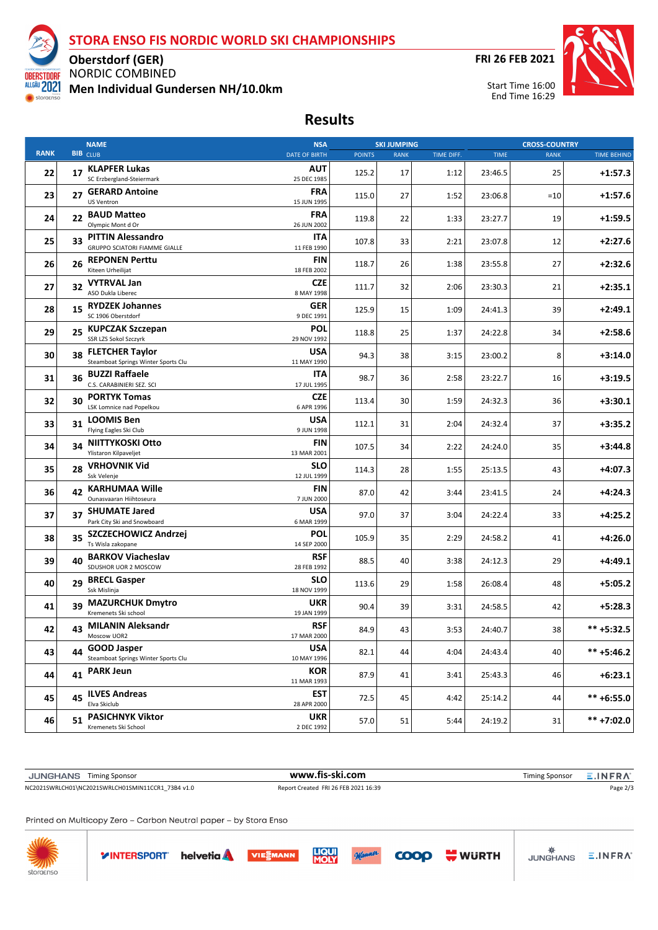

## **STORA ENSO FIS NORDIC WORLD SKI CHAMPIONSHIPS**

**FRI 26 FEB 2021**



NORDIC COMBINED **Men Individual Gundersen NH/10.0km**

**Oberstdorf (GER)**

### **Results**

|             |    | <b>NAME</b>                                                   | <b>NSA</b>                |               | <b>SKI JUMPING</b> |            |             | <b>CROSS-COUNTRY</b> |                    |
|-------------|----|---------------------------------------------------------------|---------------------------|---------------|--------------------|------------|-------------|----------------------|--------------------|
| <b>RANK</b> |    | <b>BIB</b> CLUB                                               | <b>DATE OF BIRTH</b>      | <b>POINTS</b> | <b>RANK</b>        | TIME DIFF. | <b>TIME</b> | <b>RANK</b>          | <b>TIME BEHIND</b> |
| 22          |    | 17 KLAPFER Lukas<br>SC Erzbergland-Steiermark                 | AUT<br>25 DEC 1985        | 125.2         | 17                 | 1:12       | 23:46.5     | 25                   | $+1:57.3$          |
| 23          | 27 | <b>GERARD Antoine</b><br>US Ventron                           | <b>FRA</b><br>15 JUN 1995 | 115.0         | 27                 | 1:52       | 23:06.8     | $=10$                | $+1:57.6$          |
| 24          |    | 22 BAUD Matteo<br>Olympic Mont d Or                           | <b>FRA</b><br>26 JUN 2002 | 119.8         | 22                 | 1:33       | 23:27.7     | 19                   | $+1:59.5$          |
| 25          |    | 33 PITTIN Alessandro<br><b>GRUPPO SCIATORI FIAMME GIALLE</b>  | ITA<br>11 FEB 1990        | 107.8         | 33                 | 2:21       | 23:07.8     | 12                   | $+2:27.6$          |
| 26          | 26 | <b>REPONEN Perttu</b><br>Kiteen Urheilijat                    | FIN<br>18 FEB 2002        | 118.7         | 26                 | 1:38       | 23:55.8     | 27                   | $+2:32.6$          |
| 27          |    | 32 VYTRVAL Jan<br>ASO Dukla Liberec                           | <b>CZE</b><br>8 MAY 1998  | 111.7         | 32                 | 2:06       | 23:30.3     | 21                   | $+2:35.1$          |
| 28          |    | 15 RYDZEK Johannes<br>SC 1906 Oberstdorf                      | <b>GER</b><br>9 DEC 1991  | 125.9         | 15                 | 1:09       | 24:41.3     | 39                   | $+2:49.1$          |
| 29          | 25 | <b>KUPCZAK Szczepan</b><br>SSR LZS Sokol Szczyrk              | POL<br>29 NOV 1992        | 118.8         | 25                 | 1:37       | 24:22.8     | 34                   | $+2:58.6$          |
| 30          | 38 | <b>FLETCHER Taylor</b><br>Steamboat Springs Winter Sports Clu | USA<br>11 MAY 1990        | 94.3          | 38                 | 3:15       | 23:00.2     | 8                    | $+3:14.0$          |
| 31          | 36 | <b>BUZZI Raffaele</b><br>C.S. CARABINIERI SEZ. SCI            | ITA<br>17 JUL 1995        | 98.7          | 36                 | 2:58       | 23:22.7     | 16                   | $+3:19.5$          |
| 32          | 30 | <b>PORTYK Tomas</b><br>LSK Lomnice nad Popelkou               | <b>CZE</b><br>6 APR 1996  | 113.4         | 30                 | 1:59       | 24:32.3     | 36                   | $+3:30.1$          |
| 33          | 31 | <b>LOOMIS Ben</b><br>Flying Eagles Ski Club                   | USA<br>9 JUN 1998         | 112.1         | 31                 | 2:04       | 24:32.4     | 37                   | $+3:35.2$          |
| 34          | 34 | NIITTYKOSKI Otto<br>Ylistaron Kilpaveljet                     | FIN<br>13 MAR 2001        | 107.5         | 34                 | 2:22       | 24:24.0     | 35                   | $+3:44.8$          |
| 35          |    | 28 VRHOVNIK Vid<br>Ssk Velenje                                | SLO<br>12 JUL 1999        | 114.3         | 28                 | 1:55       | 25:13.5     | 43                   | $+4:07.3$          |
| 36          | 42 | <b>KARHUMAA Wille</b><br>Ounasvaaran Hiihtoseura              | FIN<br>7 JUN 2000         | 87.0          | 42                 | 3:44       | 23:41.5     | 24                   | $+4:24.3$          |
| 37          | 37 | <b>SHUMATE Jared</b><br>Park City Ski and Snowboard           | USA<br>6 MAR 1999         | 97.0          | 37                 | 3:04       | 24:22.4     | 33                   | $+4:25.2$          |
| 38          | 35 | SZCZECHOWICZ Andrzej<br>Ts Wisla zakopane                     | <b>POL</b><br>14 SEP 2000 | 105.9         | 35                 | 2:29       | 24:58.2     | 41                   | $+4:26.0$          |
| 39          | 40 | <b>BARKOV Viacheslav</b><br>SDUSHOR UOR 2 MOSCOW              | <b>RSF</b><br>28 FEB 1992 | 88.5          | 40                 | 3:38       | 24:12.3     | 29                   | $+4:49.1$          |
| 40          | 29 | <b>BRECL Gasper</b><br>Ssk Mislinja                           | SLO<br>18 NOV 1999        | 113.6         | 29                 | 1:58       | 26:08.4     | 48                   | $+5:05.2$          |
| 41          | 39 | <b>MAZURCHUK Dmytro</b><br>Kremenets Ski school               | UKR<br>19 JAN 1999        | 90.4          | 39                 | 3:31       | 24:58.5     | 42                   | $+5:28.3$          |
| 42          |    | 43 MILANIN Aleksandr<br>Moscow UOR2                           | <b>RSF</b><br>17 MAR 2000 | 84.9          | 43                 | 3:53       | 24:40.7     | 38                   | ** +5:32.5         |
| 43          | 44 | <b>GOOD Jasper</b><br>Steamboat Springs Winter Sports Clu     | <b>USA</b><br>10 MAY 1996 | 82.1          | 44                 | 4:04       | 24:43.4     | 40                   | $*** +5:46.2$      |
| 44          |    | 41 PARK Jeun                                                  | <b>KOR</b><br>11 MAR 1993 | 87.9          | 41                 | 3:41       | 25:43.3     | 46                   | $+6:23.1$          |
| 45          |    | 45 ILVES Andreas<br>Elva Skiclub                              | <b>EST</b><br>28 APR 2000 | 72.5          | 45                 | 4:42       | 25:14.2     | 44                   | $*** + 6:55.0$     |
| 46          | 51 | <b>PASICHNYK Viktor</b><br>Kremenets Ski School               | <b>UKR</b><br>2 DEC 1992  | 57.0          | 51                 | 5:44       | 24:19.2     | 31                   | ** +7:02.0         |